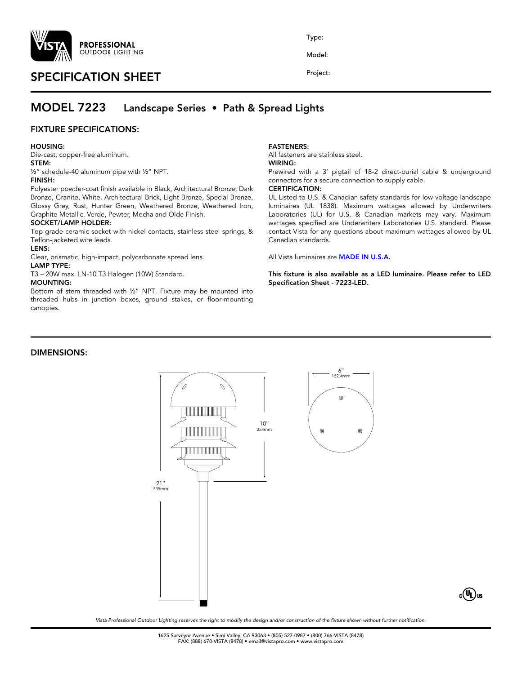

# SPECIFICATION SHEET

Type:

Model:

Project:

## MODEL 7223 Landscape Series • Path & Spread Lights

### FIXTURE SPECIFICATIONS:

#### HOUSING:

Die-cast, copper-free aluminum.

## STEM:

½" schedule-40 aluminum pipe with ½" NPT.

#### FINISH:

Polyester powder-coat finish available in Black, Architectural Bronze, Dark Bronze, Granite, White, Architectural Brick, Light Bronze, Special Bronze, Glossy Grey, Rust, Hunter Green, Weathered Bronze, Weathered Iron, Graphite Metallic, Verde, Pewter, Mocha and Olde Finish.

#### SOCKET/LAMP HOLDER:

Top grade ceramic socket with nickel contacts, stainless steel springs, & Teflon-jacketed wire leads.

#### LENS:

Clear, prismatic, high-impact, polycarbonate spread lens.

#### LAMP TYPE:

T3 – 20W max. LN-10 T3 Halogen (10W) Standard.

#### MOUNTING:

Bottom of stem threaded with ½" NPT. Fixture may be mounted into threaded hubs in junction boxes, ground stakes, or floor-mounting canopies.

#### FASTENERS:

All fasteners are stainless steel.

## WIRING:

Prewired with a 3' pigtail of 18-2 direct-burial cable & underground connectors for a secure connection to supply cable.

## CERTIFICATION:

UL Listed to U.S. & Canadian safety standards for low voltage landscape luminaires (UL 1838). Maximum wattages allowed by Underwriters Laboratories (UL) for U.S. & Canadian markets may vary. Maximum wattages specified are Underwriters Laboratories U.S. standard. Please contact Vista for any questions about maximum wattages allowed by UL Canadian standards.

All Vista luminaires are MADE IN U.S.A.

This fixture is also available as a LED luminaire. Please refer to LED Specification Sheet - 7223-LED.

### DIMENSIONS:





*Vista Professional Outdoor Lighting reserves the right to modify the design and/or construction of the fixture shown without further notification.*